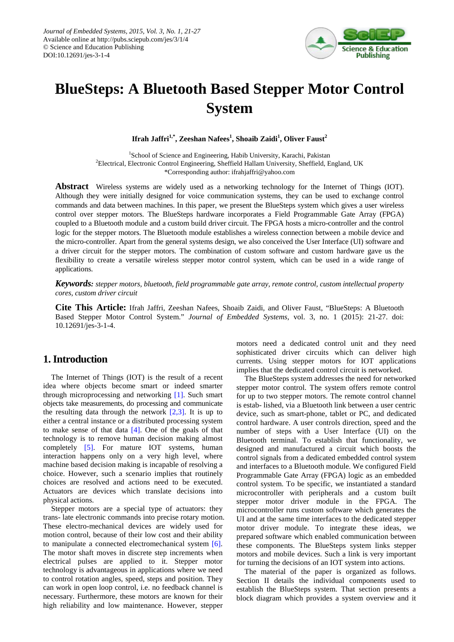

# **BlueSteps: A Bluetooth Based Stepper Motor Control System**

 $\mathbf{I}$ frah Jaffri $^{1,*}$ , Zeeshan Nafees $^{1}$ , Shoaib Zaidi $^{1}$ , Oliver Faust $^{2}$ 

<sup>1</sup>School of Science and Engineering, Habib University, Karachi, Pakistan <sup>2</sup>Electrical, Electronic Control Engineering, Sheffield Hallam University, Sheffield, England, UK \*Corresponding author: ifrahjaffri@yahoo.com

**Abstract** Wireless systems are widely used as a networking technology for the Internet of Things (IOT). Although they were initially designed for voice communication systems, they can be used to exchange control commands and data between machines. In this paper, we present the BlueSteps system which gives a user wireless control over stepper motors. The BlueSteps hardware incorporates a Field Programmable Gate Array (FPGA) coupled to a Bluetooth module and a custom build driver circuit. The FPGA hosts a micro-controller and the control logic for the stepper motors. The Bluetooth module establishes a wireless connection between a mobile device and the micro-controller. Apart from the general systems design, we also conceived the User Interface (UI) software and a driver circuit for the stepper motors. The combination of custom software and custom hardware gave us the flexibility to create a versatile wireless stepper motor control system, which can be used in a wide range of applications.

*Keywords: stepper motors, bluetooth, field programmable gate array, remote control, custom intellectual property cores, custom driver circuit*

**Cite This Article:** Ifrah Jaffri, Zeeshan Nafees, Shoaib Zaidi, and Oliver Faust, "BlueSteps: A Bluetooth Based Stepper Motor Control System." *Journal of Embedded Systems*, vol. 3, no. 1 (2015): 21-27. doi: 10.12691/jes-3-1-4.

## **1. Introduction**

The Internet of Things (IOT) is the result of a recent idea where objects become smart or indeed smarter through microprocessing and networking [\[1\].](#page-5-0) Such smart objects take measurements, do processing and communicate the resulting data through the network  $[2,3]$ . It is up to either a central instance or a distributed processing system to make sense of that data  $[4]$ . One of the goals of that technology is to remove human decision making almost completely [\[5\].](#page-5-3) For mature IOT systems, human interaction happens only on a very high level, where machine based decision making is incapable of resolving a choice. However, such a scenario implies that routinely choices are resolved and actions need to be executed. Actuators are devices which translate decisions into physical actions.

<span id="page-0-0"></span>Stepper motors are a special type of actuators: they trans- late electronic commands into precise rotary motion. These electro-mechanical devices are widely used for motion control, because of their low cost and their ability to manipulate a connected electromechanical system [\[6\].](#page-5-4) The motor shaft moves in discrete step increments when electrical pulses are applied to it. Stepper motor technology is advantageous in applications where we need to control rotation angles, speed, steps and position. They can work in open loop control, i.e. no feedback channel is necessary. Furthermore, these motors are known for their high reliability and low maintenance. However, stepper

motors need a dedicated control unit and they need sophisticated driver circuits which can deliver high currents. Using stepper motors for IOT applications implies that the dedicated control circuit is networked.

The BlueSteps system addresses the need for networked stepper motor control. The system offers remote control for up to two stepper motors. The remote control channel is estab- lished, via a Bluetooth link between a user centric device, such as smart-phone, tablet or PC, and dedicated control hardware. A user controls direction, speed and the number of steps with a User Interface (UI) on the Bluetooth terminal. To establish that functionality, we designed and manufactured a circuit which boosts the control signals from a dedicated embedded control system and interfaces to a Bluetooth module. We configured Field Programmable Gate Array (FPGA) logic as an embedded control system. To be specific, we instantiated a standard microcontroller with peripherals and a custom built stepper motor driver module in the FPGA. The microcontroller runs custom software which generates the UI and at the same time interfaces to the dedicated stepper motor driver module. To integrate these ideas, we prepared software which enabled communication between these components. The BlueSteps system links stepper motors and mobile devices. Such a link is very important for turning the decisions of an IOT system into actions.

The material of the paper is organized as follows. Section II details the individual components used to establish the BlueSteps system. That section presents a block diagram which provides a system overview and it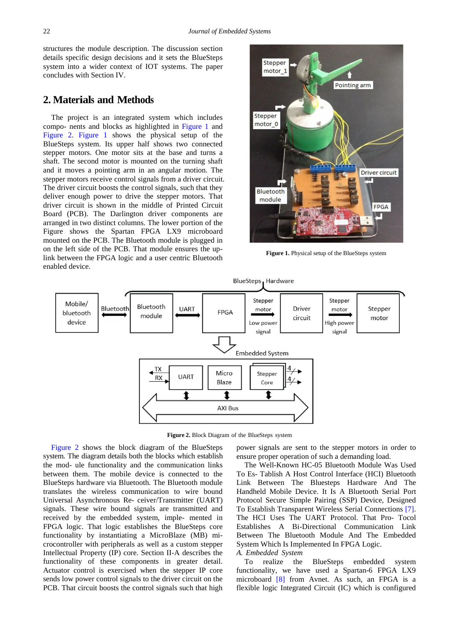structures the module description. The discussion section details specific design decisions and it sets the BlueSteps system into a wider context of IOT systems. The paper concludes with Section IV.

# **2. Materials and Methods**

The project is an integrated system which includes compo- nents and blocks as highlighted in [Figure 1](#page-1-0) and [Figure 2.](#page-1-1) [Figure 1](#page-1-0) shows the physical setup of the BlueSteps system. Its upper half shows two connected stepper motors. One motor sits at the base and turns a shaft. The second motor is mounted on the turning shaft and it moves a pointing arm in an angular motion. The stepper motors receive control signals from a driver circuit. The driver circuit boosts the control signals, such that they deliver enough power to drive the stepper motors. That driver circuit is shown in the middle of Printed Circuit Board (PCB). The Darlington driver components are arranged in two distinct columns. The lower portion of the Figure shows the Spartan FPGA LX9 microboard mounted on the PCB. The Bluetooth module is plugged in on the left side of the PCB. That module ensures the uplink between the FPGA logic and a user centric Bluetooth enabled device.

<span id="page-1-0"></span>

**Figure 1.** Physical setup of the BlueSteps system

<span id="page-1-1"></span>

**Figure 2.** Block Diagram of the BlueSteps system

[Figure 2](#page-1-1) shows the block diagram of the BlueSteps system. The diagram details both the blocks which establish the mod- ule functionality and the communication links between them. The mobile device is connected to the BlueSteps hardware via Bluetooth. The Bluetooth module translates the wireless communication to wire bound Universal Asynchronous Re- ceiver/Transmitter (UART) signals. These wire bound signals are transmitted and received by the embedded system, imple- mented in FPGA logic. That logic establishes the BlueSteps core functionality by instantiating a MicroBlaze (MB) microcontroller with peripherals as well as a custom stepper Intellectual Property (IP) core. Section II-A describes the functionality of these components in greater detail. Actuator control is exercised when the stepper IP core sends low power control signals to the driver circuit on the PCB. That circuit boosts the control signals such that high

power signals are sent to the stepper motors in order to ensure proper operation of such a demanding load.

The Well-Known HC-05 Bluetooth Module Was Used To Es- Tablish A Host Control Interface (HCI) Bluetooth Link Between The Bluesteps Hardware And The Handheld Mobile Device. It Is A Bluetooth Serial Port Protocol Secure Simple Pairing (SSP) Device, Designed To Establish Transparent Wireless Serial Connections [\[7\].](#page-5-5) The HCI Uses The UART Protocol. That Pro- Tocol Establishes A Bi-Directional Communication Link Between The Bluetooth Module And The Embedded System Which Is Implemented In FPGA Logic.

#### *A. Embedded System*

To realize the BlueSteps embedded system functionality, we have used a Spartan-6 FPGA LX9 microboard [\[8\]](#page-5-6) from Avnet. As such, an FPGA is a flexible logic Integrated Circuit (IC) which is configured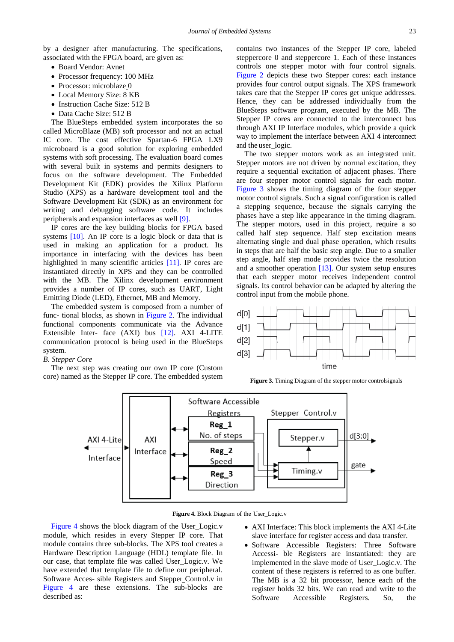by a designer after manufacturing. The specifications, associated with the FPGA board, are given as:

- Board Vendor: Avnet
- Processor frequency: 100 MHz
- Processor: microblaze\_0
- Local Memory Size: 8 KB
- Instruction Cache Size: 512 B
- Data Cache Size: 512 B

The BlueSteps embedded system incorporates the so called MicroBlaze (MB) soft processor and not an actual IC core. The cost effective Spartan-6 FPGA LX9 microboard is a good solution for exploring embedded systems with soft processing. The evaluation board comes with several built in systems and permits designers to focus on the software development. The Embedded Development Kit (EDK) provides the Xilinx Platform Studio (XPS) as a hardware development tool and the Software Development Kit (SDK) as an environment for writing and debugging software code. It includes peripherals and expansion interfaces as well [\[9\].](#page-5-7)

IP cores are the key building blocks for FPGA based systems [\[10\].](#page-5-8) An IP core is a logic block or data that is used in making an application for a product. Its importance in interfacing with the devices has been highlighted in many scientific articles [\[11\].](#page-5-9) IP cores are instantiated directly in XPS and they can be controlled with the MB. The Xilinx development environment provides a number of IP cores, such as UART, Light Emitting Diode (LED), Ethernet, MB and Memory.

The embedded system is composed from a number of func- tional blocks, as shown in [Figure 2.](#page-1-1) The individual functional components communicate via the Advance Extensible Inter- face (AXI) bus [\[12\].](#page-5-10) AXI 4-LITE communication protocol is being used in the BlueSteps system.

#### *B. Stepper Core*

<span id="page-2-1"></span>The next step was creating our own IP core (Custom core) named as the Stepper IP core. The embedded system contains two instances of the Stepper IP core, labeled steppercore 0 and steppercore 1. Each of these instances controls one stepper motor with four control signals. [Figure 2](#page-1-1) depicts these two Stepper cores: each instance provides four control output signals. The XPS framework takes care that the Stepper IP cores get unique addresses. Hence, they can be addressed individually from the BlueSteps software program, executed by the MB. The Stepper IP cores are connected to the interconnect bus through AXI IP Interface modules, which provide a quick way to implement the interface between AXI 4 interconnect and the user\_logic.

The two stepper motors work as an integrated unit. Stepper motors are not driven by normal excitation, they require a sequential excitation of adjacent phases. There are four stepper motor control signals for each motor. [Figure 3](#page-2-0) shows the timing diagram of the four stepper motor control signals. Such a signal configuration is called a stepping sequence, because the signals carrying the phases have a step like appearance in the timing diagram. The stepper motors, used in this project, require a so called half step sequence. Half step excitation means alternating single and dual phase operation, which results in steps that are half the basic step angle. Due to a smaller step angle, half step mode provides twice the resolution and a smoother operation [\[13\].](#page-5-11) Our system setup ensures that each stepper motor receives independent control signals. Its control behavior can be adapted by altering the control input from the mobile phone.

<span id="page-2-0"></span>

**Figure 3.** Timing Diagram of the stepper motor controlsignals



**Figure 4.** Block Diagram of the User\_Logic.v

[Figure 4](#page-2-1) shows the block diagram of the User Logic.v module, which resides in every Stepper IP core. That module contains three sub-blocks. The XPS tool creates a Hardware Description Language (HDL) template file. In our case, that template file was called User\_Logic.v. We have extended that template file to define our peripheral. Software Acces- sible Registers and Stepper Control.v in [Figure 4](#page-2-1) are these extensions. The sub-blocks are described as:

- AXI Interface: This block implements the AXI 4-Lite slave interface for register access and data transfer.
- Software Accessible Registers: Three Software Accessi- ble Registers are instantiated: they are implemented in the slave mode of User\_Logic.v. The content of these registers is referred to as one buffer. The MB is a 32 bit processor, hence each of the register holds 32 bits. We can read and write to the Software Accessible Registers. So, the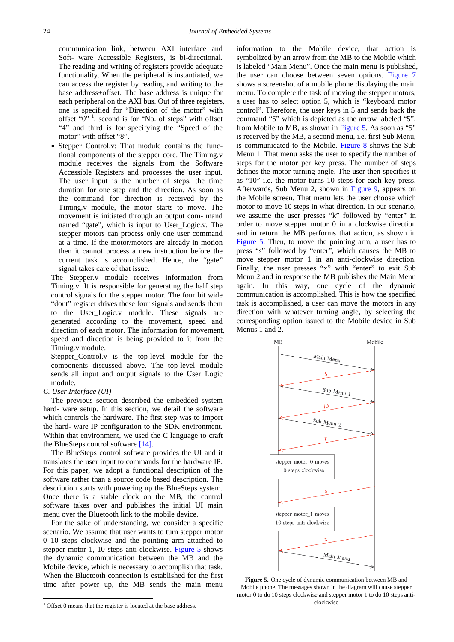communication link, between AXI interface and Soft- ware Accessible Registers, is bi-directional. The reading and writing of registers provide adequate functionality. When the peripheral is instantiated, we can access the register by reading and writing to the base address+offset. The base address is unique for each peripheral on the AXI bus. Out of three registers, one is specified for "Direction of the motor" with offset " $0$ "<sup>[1](#page-0-0)</sup>, second is for "No. of steps" with offset "4" and third is for specifying the "Speed of the motor" with offset "8".

• Stepper\_Control.v: That module contains the functional components of the stepper core. The Timing.v module receives the signals from the Software Accessible Registers and processes the user input. The user input is the number of steps, the time duration for one step and the direction. As soon as the command for direction is received by the Timing.v module, the motor starts to move. The movement is initiated through an output com- mand named "gate", which is input to User\_Logic.v. The stepper motors can process only one user command at a time. If the motor/motors are already in motion then it cannot process a new instruction before the current task is accomplished. Hence, the "gate" signal takes care of that issue.

The Stepper.v module receives information from Timing.v. It is responsible for generating the half step control signals for the stepper motor. The four bit wide "dout" register drives these four signals and sends them to the User\_Logic.v module. These signals are generated according to the movement, speed and direction of each motor. The information for movement, speed and direction is being provided to it from the Timing.v module.

Stepper\_Control.v is the top-level module for the components discussed above. The top-level module sends all input and output signals to the User\_Logic module.

#### *C. User Interface (UI)*

<u>.</u>

The previous section described the embedded system hard- ware setup. In this section, we detail the software which controls the hardware. The first step was to import the hard- ware IP configuration to the SDK environment. Within that environment, we used the C language to craft the BlueSteps control software [\[14\].](#page-5-12)

The BlueSteps control software provides the UI and it translates the user input to commands for the hardware IP. For this paper, we adopt a functional description of the software rather than a source code based description. The description starts with powering up the BlueSteps system. Once there is a stable clock on the MB, the control software takes over and publishes the initial UI main menu over the Bluetooth link to the mobile device.

For the sake of understanding, we consider a specific scenario. We assume that user wants to turn stepper motor 0 10 steps clockwise and the pointing arm attached to stepper motor 1, 10 steps anti-clockwise. [Figure 5](#page-3-0) shows the dynamic communication between the MB and the Mobile device, which is necessary to accomplish that task. When the Bluetooth connection is established for the first time after power up, the MB sends the main menu

<sup>1</sup> Offset 0 means that the register is located at the base address.

information to the Mobile device, that action is symbolized by an arrow from the MB to the Mobile which is labeled "Main Menu". Once the main menu is published, the user can choose between seven options. [Figure 7](#page-6-0) shows a screenshot of a mobile phone displaying the main menu. To complete the task of moving the stepper motors, a user has to select option 5, which is "keyboard motor control". Therefore, the user keys in 5 and sends back the command "5" which is depicted as the arrow labeled "5", from Mobile to MB, as shown in [Figure 5.](#page-3-0) As soon as "5" is received by the MB, a second menu, i.e. first Sub Menu, is communicated to the Mobile. [Figure 8](#page-6-1) shows the Sub Menu 1. That menu asks the user to specify the number of steps for the motor per key press. The number of steps defines the motor turning angle. The user then specifies it as "10" i.e. the motor turns 10 steps for each key press. Afterwards, Sub Menu 2, shown in Figure 9, appears on the Mobile screen. That menu lets the user choose which motor to move 10 steps in what direction. In our scenario, we assume the user presses "k" followed by "enter" in order to move stepper motor 0 in a clockwise direction and in return the MB performs that action, as shown in [Figure 5.](#page-3-0) Then, to move the pointing arm, a user has to press "s" followed by "enter", which causes the MB to move stepper motor 1 in an anti-clockwise direction. Finally, the user presses "x" with "enter" to exit Sub Menu 2 and in response the MB publishes the Main Menu again. In this way, one cycle of the dynamic communication is accomplished. This is how the specified task is accomplished, a user can move the motors in any direction with whatever turning angle, by selecting the corresponding option issued to the Mobile device in Sub Menus 1 and 2.

<span id="page-3-0"></span>

**Figure 5.** One cycle of dynamic communication between MB and Mobile phone. The messages shown in the diagram will cause stepper motor 0 to do 10 steps clockwise and stepper motor 1 to do 10 steps anticlockwise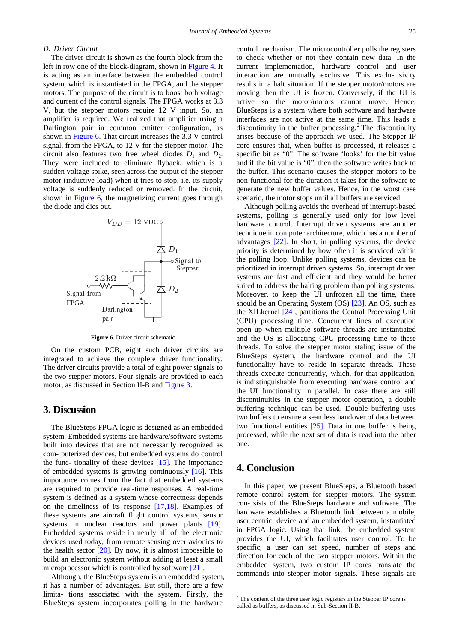### *D. Driver Circuit*

The driver circuit is shown as the fourth block from the left in row one of the block-diagram, shown in [Figure 4.](#page-2-1) It is acting as an interface between the embedded control system, which is instantiated in the FPGA, and the stepper motors. The purpose of the circuit is to boost both voltage and current of the control signals. The FPGA works at 3.3 V, but the stepper motors require 12 V input. So, an amplifier is required. We realized that amplifier using a Darlington pair in common emitter configuration, as shown in [Figure 6.](#page-4-0) That circuit increases the 3.3 V control signal, from the FPGA, to 12 V for the stepper motor. The circuit also features two free wheel diodes  $D_1$  and  $D_2$ . They were included to eliminate flyback, which is a sudden voltage spike, seen across the output of the stepper motor (inductive load) when it tries to stop, i.e. its supply voltage is suddenly reduced or removed. In the circuit, shown in [Figure 6,](#page-4-0) the magnetizing current goes through the diode and dies out.

<span id="page-4-0"></span>

**Figure 6.** Driver circuit schematic

On the custom PCB, eight such driver circuits are integrated to achieve the complete driver functionality. The driver circuits provide a total of eight power signals to the two stepper motors. Four signals are provided to each motor, as discussed in Section II-B and [Figure 3.](#page-2-0)

## **3. Discussion**

The BlueSteps FPGA logic is designed as an embedded system. Embedded systems are hardware/software systems built into devices that are not necessarily recognized as com- puterized devices, but embedded systems do control the func- tionality of these devices [\[15\].](#page-5-13) The importance of embedded systems is growing continuously [\[16\].](#page-5-14) This importance comes from the fact that embedded systems are required to provide real-time responses. A real-time system is defined as a system whose correctness depends on the timeliness of its response [\[17,18\].](#page-5-15) Examples of these systems are aircraft flight control systems, sensor systems in nuclear reactors and power plants [\[19\].](#page-5-16) Embedded systems reside in nearly all of the electronic devices used today, from remote sensing over avionics to the health sector  $[20]$ . By now, it is almost impossible to build an electronic system without adding at least a small microprocessor which is controlled by software [\[21\].](#page-5-18)

<span id="page-4-1"></span>Although, the BlueSteps system is an embedded system, it has a number of advantages. But still, there are a few limita- tions associated with the system. Firstly, the BlueSteps system incorporates polling in the hardware

control mechanism. The microcontroller polls the registers to check whether or not they contain new data. In the current implementation, hardware control and user interaction are mutually exclusive. This exclu- sivity results in a halt situation. If the stepper motor/motors are moving then the UI is frozen. Conversely, if the UI is active so the motor/motors cannot move. Hence, BlueSteps is a system where both software and hardware interfaces are not active at the same time. This leads a discontinuity in the buffer processing.<sup>[2](#page-4-1)</sup> The discontinuity arises because of the approach we used. The Stepper IP core ensures that, when buffer is processed, it releases a specific bit as "0". The software 'looks' for the bit value and if the bit value is "0", then the software writes back to the buffer. This scenario causes the stepper motors to be non-functional for the duration it takes for the software to generate the new buffer values. Hence, in the worst case scenario, the motor stops until all buffers are serviced.

Although polling avoids the overhead of interrupt-based systems, polling is generally used only for low level hardware control. Interrupt driven systems are another technique in computer architecture, which has a number of advantages [\[22\].](#page-5-19) In short, in polling systems, the device priority is determined by how often it is serviced within the polling loop. Unlike polling systems, devices can be prioritized in interrupt driven systems. So, interrupt driven systems are fast and efficient and they would be better suited to address the halting problem than polling systems. Moreover, to keep the UI unfrozen all the time, there should be an Operating System (OS) [\[23\].](#page-5-20) An OS, such as the XILkernel [\[24\],](#page-5-21) partitions the Central Processing Unit (CPU) processing time. Concurrent lines of execution open up when multiple software threads are instantiated and the OS is allocating CPU processing time to these threads. To solve the stepper motor staling issue of the BlueSteps system, the hardware control and the UI functionality have to reside in separate threads. These threads execute concurrently, which, for that application, is indistinguishable from executing hardware control and the UI functionality in parallel. In case there are still discontinuities in the stepper motor operation, a double buffering technique can be used. Double buffering uses two buffers to ensure a seamless handover of data between two functional entities [\[25\].](#page-5-22) Data in one buffer is being processed, while the next set of data is read into the other one.

# **4. Conclusion**

<u>.</u>

In this paper, we present BlueSteps, a Bluetooth based remote control system for stepper motors. The system con- sists of the BlueSteps hardware and software. The hardware establishes a Bluetooth link between a mobile, user centric, device and an embedded system, instantiated in FPGA logic. Using that link, the embedded system provides the UI, which facilitates user control. To be specific, a user can set speed, number of steps and direction for each of the two stepper motors. Within the embedded system, two custom IP cores translate the commands into stepper motor signals. These signals are

<sup>2</sup> The content of the three user logic registers in the Stepper IP core is called as buffers, as discussed in Sub-Section II-B.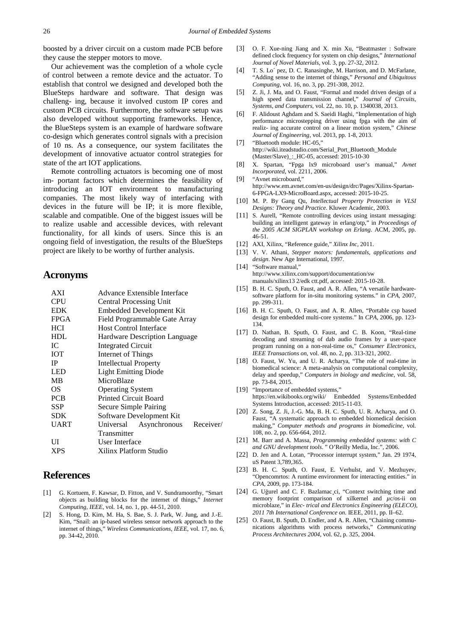boosted by a driver circuit on a custom made PCB before they cause the stepper motors to move.

Our achievement was the completion of a whole cycle of control between a remote device and the actuator. To establish that control we designed and developed both the BlueSteps hardware and software. That design was challeng- ing, because it involved custom IP cores and custom PCB circuits. Furthermore, the software setup was also developed without supporting frameworks. Hence, the BlueSteps system is an example of hardware software co-design which generates control signals with a precision of 10 ns. As a consequence, our system facilitates the development of innovative actuator control strategies for state of the art IOT applications.

Remote controlling actuators is becoming one of most im- portant factors which determines the feasibility of introducing an IOT environment to manufacturing companies. The most likely way of interfacing with devices in the future will be IP; it is more flexible, scalable and compatible. One of the biggest issues will be to realize usable and accessible devices, with relevant functionality, for all kinds of users. Since this is an ongoing field of investigation, the results of the BlueSteps project are likely to be worthy of further analysis.

## **Acronyms**

| <b>AXI</b>  | Advance Extensible Interface        |
|-------------|-------------------------------------|
| CPU         | <b>Central Processing Unit</b>      |
| <b>EDK</b>  | Embedded Development Kit            |
| <b>FPGA</b> | Field Programmable Gate Array       |
| HCI         | <b>Host Control Interface</b>       |
| <b>HDL</b>  | Hardware Description Language       |
| IС          | Integrated Circuit                  |
| ЮT          | Internet of Things                  |
| <b>IP</b>   | Intellectual Property               |
| LED         | <b>Light Emitting Diode</b>         |
| MВ          | MicroBlaze                          |
| OS          | <b>Operating System</b>             |
| <b>PCB</b>  | <b>Printed Circuit Board</b>        |
| SSP         | Secure Simple Pairing               |
| <b>SDK</b>  | Software Development Kit            |
| <b>UART</b> | Receiver/<br>Universal Asynchronous |
|             | Transmitter                         |
| UІ          | User Interface                      |
| XPS         | Xilinx Platform Studio              |
|             |                                     |

## **References**

- <span id="page-5-0"></span>[1] G. Kortuem, F. Kawsar, D. Fitton, and V. Sundramoorthy, "Smart objects as building blocks for the internet of things," *Internet Computing, IEEE*, vol. 14, no. 1, pp. 44-51, 2010.
- <span id="page-5-1"></span>[2] S. Hong, D. Kim, M. Ha, S. Bae, S. J. Park, W. Jung, and J.-E. Kim, "Snail: an ip-based wireless sensor network approach to the internet of things," *Wireless Communications, IEEE*, vol. 17, no. 6, pp. 34-42, 2010.
- [3] O. F. Xue-ning Jiang and X. min Xu, "Beatmaster : Software defined clock frequency for system on chip designs," *International Journal of Novel Materials*, vol. 3, pp. 27-32, 2012.
- <span id="page-5-2"></span>T. S. Lo´ pez, D. C. Ranasinghe, M. Harrison, and D. McFarlane, "Adding sense to the internet of things," *Personal and Ubiquitous Computing*, vol. 16, no. 3, pp. 291-308, 2012.
- <span id="page-5-3"></span>[5] Z. Ji, J. Ma, and O. Faust, "Formal and model driven design of a high speed data transmission channel," *Journal of Circuits, Systems, and Computers*, vol. 22, no. 10, p. 1340038, 2013.
- <span id="page-5-4"></span>[6] F. Alidoust Aghdam and S. Saeidi Haghi, "Implementation of high performance microstepping driver using fpga with the aim of realiz- ing accurate control on a linear motion system," *Chinese Journal of Engineering*, vol. 2013, pp. 1-8, 2013.
- <span id="page-5-5"></span>[7] "Bluetooth module: HC-05," http://wiki.iteadstudio.com/Serial\_Port\_Bluetooth\_Module (Master/Slave)\_:\_HC-05, accessed: 2015-10-30
- <span id="page-5-6"></span>[8] X. Spartan, "Fpga lx9 microboard user's manual," *Avnet Incorporated*, vol. 2211, 2006.
- <span id="page-5-7"></span>[9] "Avnet microboard," http://www.em.avnet.com/en-us/design/drc/Pages/Xilinx-Spartan-6-FPGA-LX9-MicroBoard.aspx, accessed: 2015-10-25.
- <span id="page-5-8"></span>[10] M. P. By Gang Qu, *Intellectual Property Protection in VLSI Designs: Theory and Practice*. Kluwer Academic, 2003.
- <span id="page-5-9"></span>[11] S. Aurell, "Remote controlling devices using instant messaging: building an intelligent gateway in erlang/otp," in *Proceedings of the 2005 ACM SIGPLAN workshop on Erlang*. ACM, 2005, pp. 46-51.
- <span id="page-5-10"></span>[12] AXI, Xilinx, "Reference guide," *Xilinx Inc*, 2011.
- <span id="page-5-11"></span>[13] V. V. Athani, *Stepper motors: fundamentals, applications and design*. New Age International, 1997.
- <span id="page-5-12"></span>[14] "Software manual," http://www.xilinx.com/support/documentation/sw manuals/xilinx13 2/edk ctt.pdf, accessed: 2015-10-28.
- <span id="page-5-13"></span>[15] B. H. C. Sputh, O. Faust, and A. R. Allen, "A versatile hardwaresoftware platform for in-situ monitoring systems." in *CPA*, 2007, pp. 299-311.
- <span id="page-5-14"></span>[16] B. H. C. Sputh, O. Faust, and A. R. Allen, "Portable csp based design for embedded multi-core systems." In *CPA*, 2006, pp. 123- 134.
- <span id="page-5-15"></span>[17] D. Nathan, B. Sputh, O. Faust, and C. B. Koon, "Real-time decoding and streaming of dab audio frames by a user-space program running on a non-real-time os," *Consumer Electronics, IEEE Transactions on*, vol. 48, no. 2, pp. 313-321, 2002.
- [18] O. Faust, W. Yu, and U. R. Acharya, "The role of real-time in biomedical science: A meta-analysis on computational complexity, delay and speedup," *Computers in biology and medicine*, vol. 58, pp. 73-84, 2015.
- <span id="page-5-16"></span>[19] "Importance of embedded systems." https://en.wikibooks.org/wiki/ Embedded Systems/Embedded Systems Introduction, accessed: 2015-11-03.
- <span id="page-5-17"></span>[20] Z. Song, Z. Ji, J.-G. Ma, B. H. C. Sputh, U. R. Acharya, and O. Faust, "A systematic approach to embedded biomedical decision making," *Computer methods and programs in biomedicine*, vol. 108, no. 2, pp. 656-664, 2012.
- <span id="page-5-18"></span>[21] M. Barr and A. Massa, *Programming embedded systems: with C and GNU development tools*. " O'Reilly Media, Inc.", 2006.
- <span id="page-5-19"></span>[22] D. Jen and A. Lotan, "Processor interrupt system," Jan. 29 1974, uS Patent 3,789,365.
- <span id="page-5-20"></span>[23] B. H. C. Sputh, O. Faust, E. Verhulst, and V. Mezhuyev, "Opencomrtos: A runtime environment for interacting entities." in *CPA*, 2009, pp. 173-184.
- <span id="page-5-21"></span>[24] G. Uğurel and C. F. Bazlamac ci, "Context switching time and memory footprint comparison of xilkernel and *µ*c/os-ii on microblaze," in *Elec- trical and Electronics Engineering (ELECO), 2011 7th International Conference on*. IEEE, 2011, pp. II–62.
- <span id="page-5-22"></span>[25] O. Faust, B. Sputh, D. Endler, and A. R. Allen, "Chaining communications algorithms with process networks," *Communicating Process Architectures 2004*, vol. 62, p. 325, 2004.